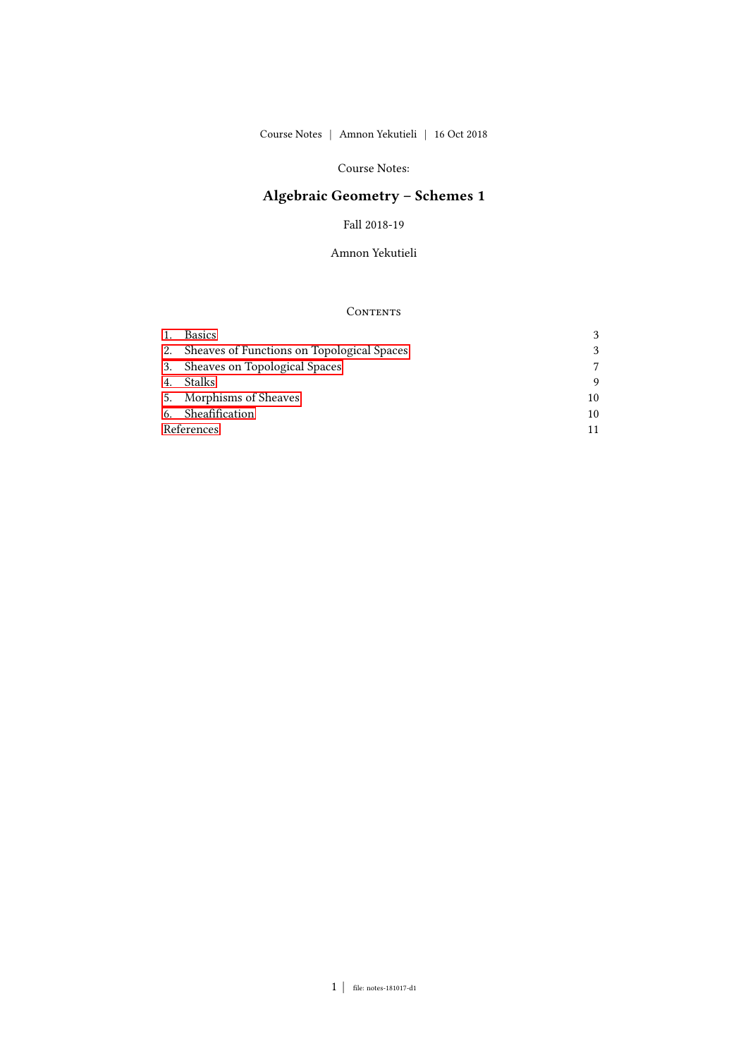## Course Notes:

# Algebraic Geometry – Schemes 1

Fall 2018-19

Amnon Yekutieli

## CONTENTS

|            | <b>Basics</b>                                 |    |
|------------|-----------------------------------------------|----|
|            | 2. Sheaves of Functions on Topological Spaces |    |
|            | 3. Sheaves on Topological Spaces              |    |
|            | Stalks                                        |    |
|            | 5. Morphisms of Sheaves                       | 10 |
|            | 6. Sheafification                             | 10 |
| References |                                               |    |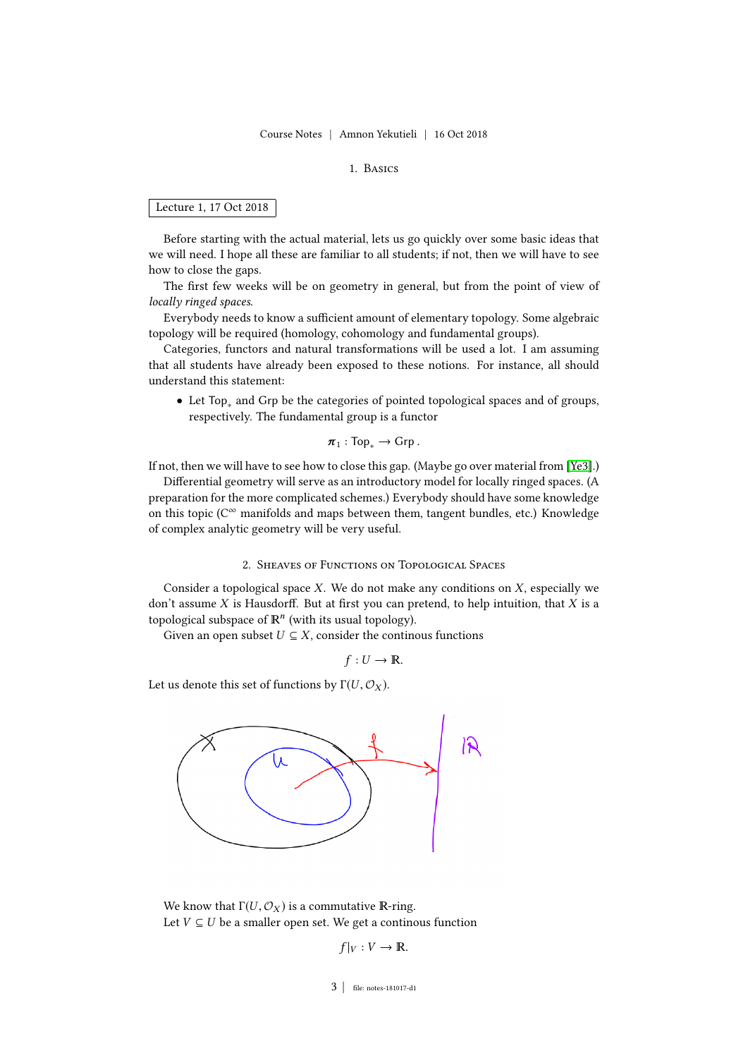#### 1. Basics

### <span id="page-2-0"></span>Lecture 1, 17 Oct 2018

Before starting with the actual material, lets us go quickly over some basic ideas that we will need. I hope all these are familiar to all students; if not, then we will have to see how to close the gaps.

The first few weeks will be on geometry in general, but from the point of view of locally ringed spaces.

Everybody needs to know a sufficient amount of elementary topology. Some algebraic topology will be required (homology, cohomology and fundamental groups).

Categories, functors and natural transformations will be used a lot. I am assuming that all students have already been exposed to these notions. For instance, all should understand this statement:

• Let Top<sup>∗</sup> and Grp be the categories of pointed topological spaces and of groups, respectively. The fundamental group is a functor

$$
\pi_1 : \text{Top}_* \to \text{Grp} \, .
$$

If not, then we will have to see how to close this gap. (Maybe go over material from [\[Ye3\]](#page-10-1).)

Differential geometry will serve as an introductory model for locally ringed spaces. (A preparation for the more complicated schemes.) Everybody should have some knowledge on this topic ( $C^{\infty}$  manifolds and maps between them, tangent bundles, etc.) Knowledge of complex analytic geometry will be very useful.

## 2. Sheaves of Functions on Topological Spaces

<span id="page-2-1"></span>Consider a topological space  $X$ . We do not make any conditions on  $X$ , especially we don't assume  $X$  is Hausdorff. But at first you can pretend, to help intuition, that  $X$  is a topological subspace of  $\mathbb{R}^n$  (with its usual topology).

Given an open subset  $U \subseteq X$ , consider the continous functions

$$
f:U\to\mathbb{R}.
$$

Let us denote this set of functions by  $\Gamma(U, \mathcal{O}_X)$ .



We know that  $\Gamma(U, \mathcal{O}_X)$  is a commutative R-ring. Let  $V \subseteq U$  be a smaller open set. We get a continous function

$$
f|_V: V \to \mathbb{R}.
$$

#### 3 | file: notes-181017-d1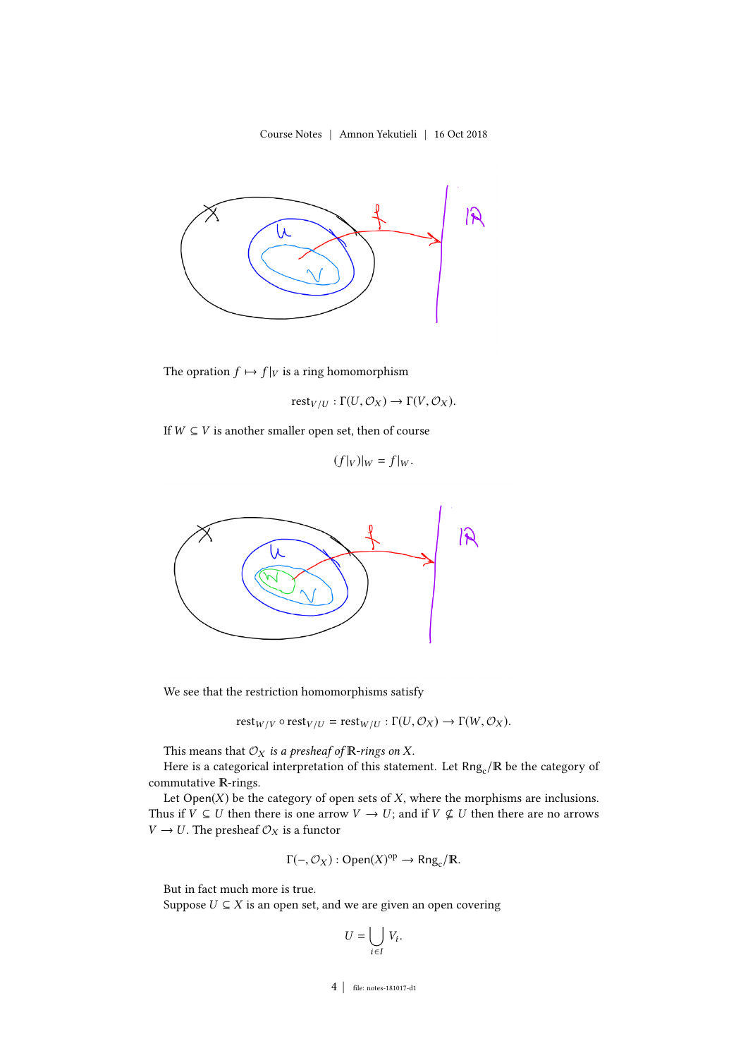

The opration  $f \mapsto f|_V$  is a ring homomorphism

$$
\mathrm{rest}_{V/U} : \Gamma(U, \mathcal{O}_X) \to \Gamma(V, \mathcal{O}_X).
$$

If  $W \subseteq V$  is another smaller open set, then of course

 $(f|_V)|_W = f|_W$ .



We see that the restriction homomorphisms satisfy

$$
rest_{W/V} \circ rest_{V/U} = rest_{W/U} : \Gamma(U, \mathcal{O}_X) \to \Gamma(W, \mathcal{O}_X).
$$

This means that  $\mathcal{O}_X$  is a presheaf of  $\mathbb R$ -rings on X.

Here is a categorical interpretation of this statement. Let  $\mathsf{Rng}_{\rm c}/\mathbb{R}$  be the category of commutative R-rings.

Let  $Open(X)$  be the category of open sets of  $X$ , where the morphisms are inclusions. Thus if  $V \subseteq U$  then there is one arrow  $V \to U$ ; and if  $V \nsubseteq U$  then there are no arrows  $V \rightarrow U.$  The presheaf  $\mathcal{O}_X$  is a functor

$$
\Gamma(-, \mathcal{O}_X) : \text{Open}(X)^{\text{op}} \to \text{Rng}_c/\mathbb{R}.
$$

But in fact much more is true.

Suppose  $U \subseteq X$  is an open set, and we are given an open covering

$$
U = \bigcup_{i \in I} V_i.
$$

4 | le: notes-181017-d1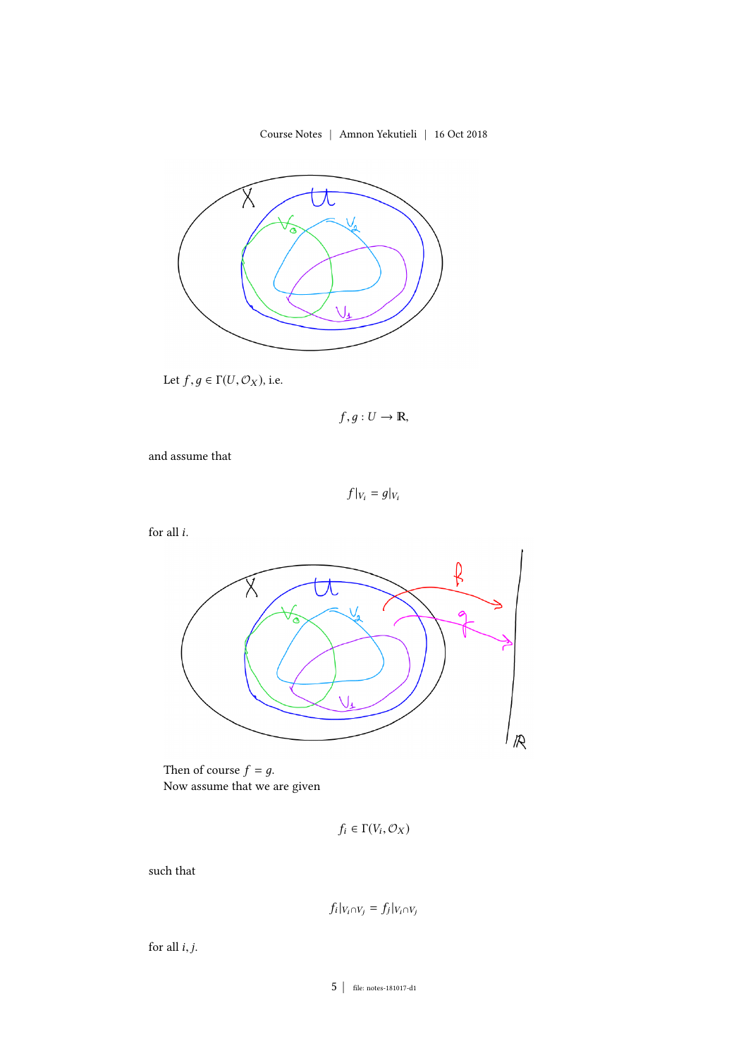

Let  $f, g \in \Gamma(U, \mathcal{O}_X)$ , i.e.

 $f, g: U \to \mathbb{R},$ 

and assume that

 $f|_{V_i} = g|_{V_i}$ 

for all  $i$ .



Then of course  $f = g$ . Now assume that we are given

$$
f_i \in \Gamma(V_i, \mathcal{O}_X)
$$

such that

$$
f_i|_{V_i \cap V_j} = f_j|_{V_i \cap V_j}
$$

for all  $i, j$ .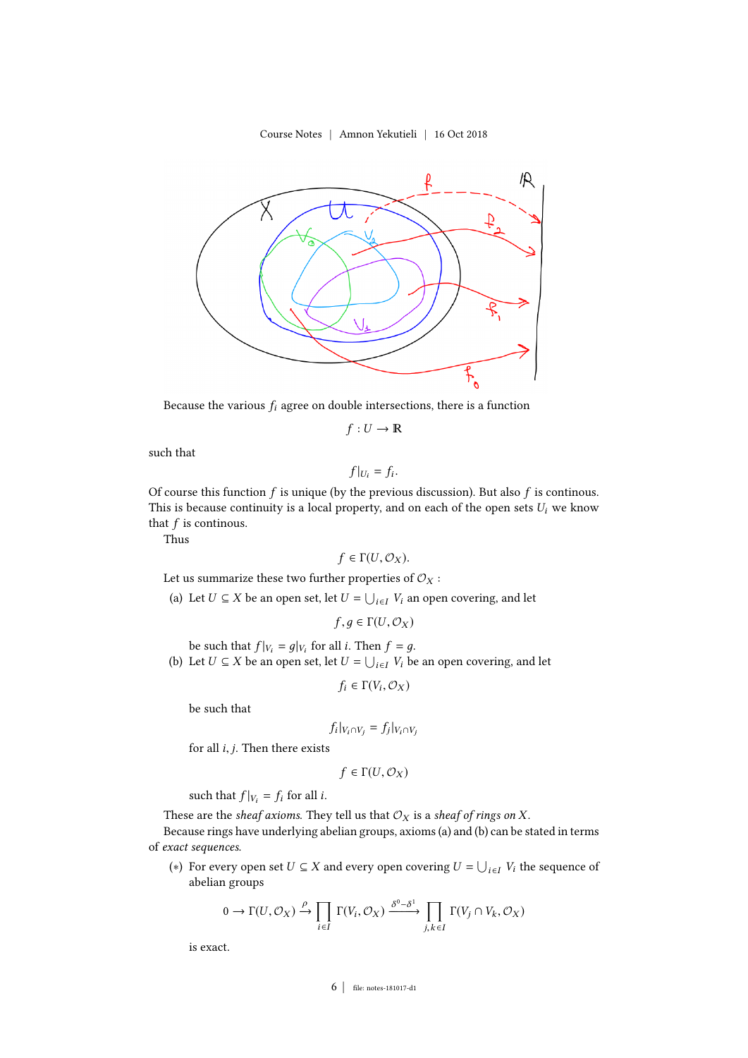

Because the various  $f_i$  agree on double intersections, there is a function

 $f: U \to \mathbb{R}$ 

such that

$$
f|_{U_i}=f_i.
$$

Of course this function f is unique (by the previous discussion). But also f is continous.<br>This is because continuity is a local property, and on each of the open sets  $U$ , we know This is because continuity is a local property, and on each of the open sets  $U_i$  we know that  $f$  is continous.

Thus

$$
f\in \Gamma(U,\mathcal{O}_X).
$$

Let us summarize these two further properties of  $\mathcal{O}_X$ :

(a) Let  $U \subseteq X$  be an open set, let  $U = \bigcup_{i \in I} V_i$  an open covering, and let

$$
f,g\in \Gamma(U,\mathcal{O}_X)
$$

be such that  $f|_{V_i} = g|_{V_i}$  for all *i*. Then  $f = g$ .<br>Let  $U \subseteq Y$  be an open set let  $U = |V|$  W by (b) Let  $U \subseteq X$  be an open set, let  $U = \bigcup_{i \in I} V_i$  be an open covering, and let

$$
f_i \in \Gamma(V_i, \mathcal{O}_X)
$$

be such that

$$
f_i|_{V_i \cap V_j} = f_j|_{V_i \cap V_j}
$$

for all  $i, j$ . Then there exists

$$
f\in\Gamma(U,\mathcal{O}_X)
$$

such that  $f|_{V_i} = f_i$  for all *i*.

These are the sheaf axioms. They tell us that  $\mathcal{O}_X$  is a sheaf of rings on X.

Because rings have underlying abelian groups, axioms (a) and (b) can be stated in terms of exact sequences.

(\*) For every open set  $U \subseteq X$  and every open covering  $U = \bigcup_{i \in I} V_i$  the sequence of abelian groups

$$
0 \to \Gamma(U, \mathcal{O}_X) \xrightarrow{\rho} \prod_{i \in I} \Gamma(V_i, \mathcal{O}_X) \xrightarrow{\delta^0 - \delta^1} \prod_{j,k \in I} \Gamma(V_j \cap V_k, \mathcal{O}_X)
$$

is exact.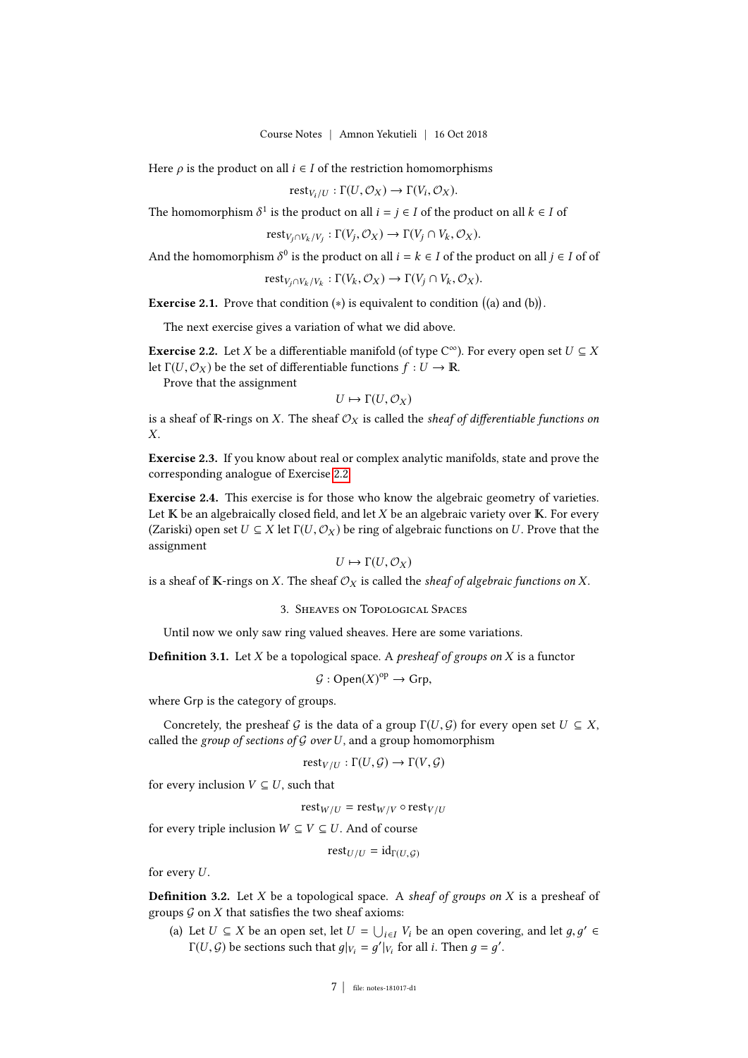Here  $\rho$  is the product on all  $i \in I$  of the restriction homomorphisms

$$
rest_{V_i/U} : \Gamma(U, \mathcal{O}_X) \to \Gamma(V_i, \mathcal{O}_X).
$$

The homomorphism  $\delta^1$  is the product on all  $i = j \in I$  of the product on all  $k \in I$  of

 $\mathrm{rest}_{V_j \cap V_k / V_j} : \Gamma(V_j, \mathcal{O}_X) \to \Gamma(V_j \cap V_k, \mathcal{O}_X).$ 

And the homomorphism  $\delta^0$  is the product on all  $i = k \in I$  of the product on all  $j \in I$  of of

$$
\text{rest}_{V_j \cap V_k / V_k} : \Gamma(V_k, \mathcal{O}_X) \to \Gamma(V_j \cap V_k, \mathcal{O}_X).
$$

**Exercise 2.1.** Prove that condition  $(*)$  is equivalent to condition  $((a)$  and  $(b))$ .

The next exercise gives a variation of what we did above.

<span id="page-6-1"></span>**Exercise 2.2.** Let X be a differentiable manifold (of type  $C^{\infty}$ ). For every open set  $U \subseteq X$ <br>let  $\Gamma(U \cap C_{\infty})$  be the set of differentiable functions  $f \colon U \to \mathbb{R}$ let  $\Gamma(U, \mathcal{O}_X)$  be the set of differentiable functions  $f : U \to \mathbb{R}$ .

Prove that the assignment

$$
U \mapsto \Gamma(U, \mathcal{O}_X)
$$

is a sheaf of R-rings on X. The sheaf  $\mathcal{O}_X$  is called the *sheaf of differentiable functions on*  $\mathbf{v}$ X.

Exercise 2.3. If you know about real or complex analytic manifolds, state and prove the corresponding analogue of Exercise [2.2.](#page-6-1)

Exercise 2.4. This exercise is for those who know the algebraic geometry of varieties. Let  $K$  be an algebraically closed field, and let  $X$  be an algebraic variety over  $K$ . For every (Zariski) open set  $U \subseteq X$  let  $\Gamma(U, \mathcal{O}_X)$  be ring of algebraic functions on U. Prove that the assignment

$$
U \mapsto \Gamma(U, \mathcal{O}_X)
$$

<span id="page-6-0"></span>is a sheaf of K-rings on X. The sheaf  $\mathcal{O}_X$  is called the *sheaf of algebraic functions on* X.

#### 3. Sheaves on Topological Spaces

Until now we only saw ring valued sheaves. Here are some variations.

**Definition 3.1.** Let X be a topological space. A *presheaf of groups on* X is a functor

 $\mathcal{G}: \mathsf{Open}(X)^{\mathrm{op}} \to \mathsf{Grp},$ 

where Grp is the category of groups.

Concretely, the presheaf G is the data of a group  $\Gamma(U, \mathcal{G})$  for every open set  $U \subseteq X$ , called the group of sections of G over U, and a group homomorphism

$$
\mathrm{rest}_{V/U} : \Gamma(U, \mathcal{G}) \to \Gamma(V, \mathcal{G})
$$

for every inclusion  $V \subseteq U$ , such that

$$
\mathrm{rest}_{W/U} = \mathrm{rest}_{W/V} \circ \mathrm{rest}_{V/U}
$$

for every triple inclusion  $W \subseteq V \subseteq U$ . And of course

$$
\mathrm{rest}_{U/U} = \mathrm{id}_{\Gamma(U, \mathcal{G})}
$$

for every  $U$ .

<span id="page-6-2"></span>**Definition 3.2.** Let  $X$  be a topological space. A sheaf of groups on  $X$  is a presheaf of groups  $G$  on  $X$  that satisfies the two sheaf axioms:

(a) Let  $U \subseteq X$  be an open set, let  $U = \bigcup_{i \in I} V_i$  be an open covering, and let  $g, g' \in$ <br> $\Gamma(U, G)$  be sections such that  $g|_{U} = g'|_{U}$  for all i Then  $g = g'$ .  $\Gamma(U, \mathcal{G})$  be sections such that  $g|_{V_i} = g'|_{V_i}$  for all *i*. Then  $g = g'$ .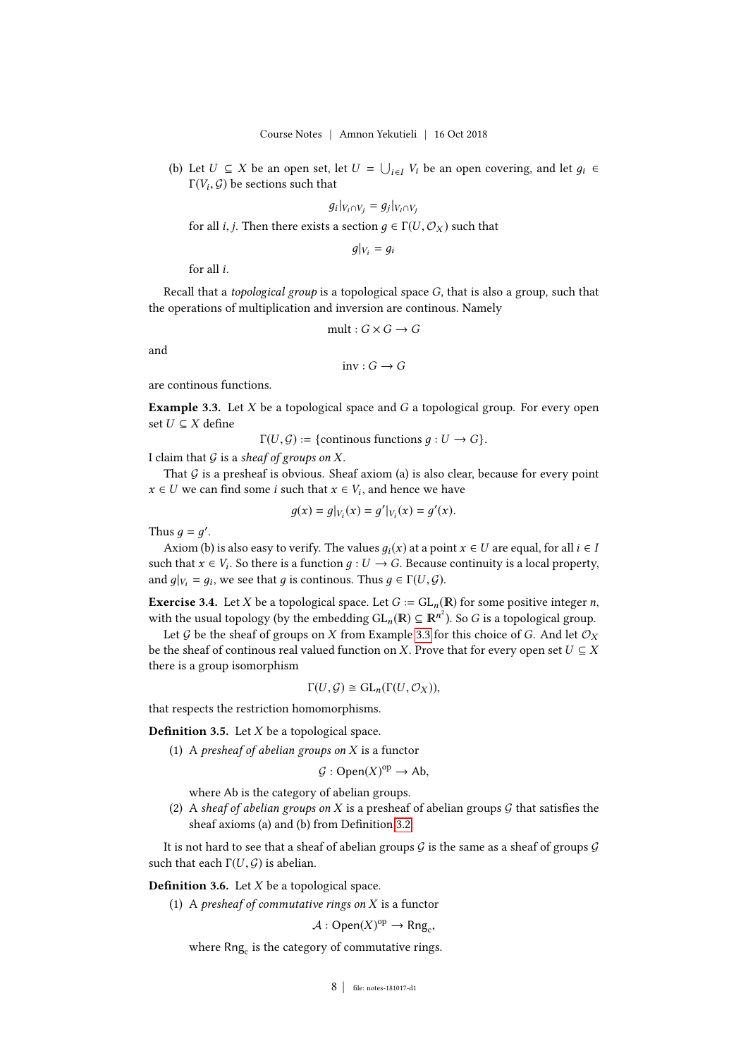(b) Let  $U \subseteq X$  be an open set, let  $U = \bigcup_{i \in I} V_i$  be an open covering, and let  $g_i \in \Gamma(U, G)$  be sections such that  $\Gamma(V_i,\mathcal{G})$  be sections such that

$$
g_i|_{V_i \cap V_j} = g_j|_{V_i \cap V_j}
$$

for all *i*, *j*. Then there exists a section  $g \in \Gamma(U, \mathcal{O}_X)$  such that

 $q|_{V_i} = q_i$ 

for all i.

Recall that a *topological group* is a topological space  $G$ , that is also a group, such that the operations of multiplication and inversion are continous. Namely

$$
\text{mult}: G \times G \to G
$$

and

 $inv: G \to G$ 

are continous functions.

<span id="page-7-0"></span>**Example 3.3.** Let  $X$  be a topological space and  $G$  a topological group. For every open set  $U \subseteq X$  define

 $\Gamma(U, \mathcal{G}) := \{$  continous functions  $q : U \to G\}.$ 

I claim that  $G$  is a sheaf of groups on X.

That  $G$  is a presheaf is obvious. Sheaf axiom (a) is also clear, because for every point  $x \in U$  we can find some *i* such that  $x \in V_i$ , and hence we have

$$
g(x) = g|_{V_i}(x) = g'|_{V_i}(x) = g'(x).
$$

Thus  $g = g'$ .<br>Axiom (b)

Axiom (b) is also easy to verify. The values  $q_i(x)$  at a point  $x \in U$  are equal, for all  $i \in I$ such that  $x \in V_i$ . So there is a function  $g: U \to G$ . Because continuity is a local property,<br>and  $g|_{U_i} = g_i$ , we see that g is continuus. Thus  $g \in \Gamma(U, G)$ and  $g|_{V_i} = g_i$ , we see that g is continous. Thus  $g \in \Gamma(U, \mathcal{G})$ .

**Exercise 3.4.** Let X be a topological space. Let  $G := GL_n(\mathbb{R})$  for some positive integer *n*,

with the usual topology (by the embedding  $GL_n(\mathbb{R}) \subseteq \mathbb{R}^{n^2}$ ). So G is a topological group.<br>Let G be the sheef of groups on Y from Example 3.3 for this shoice of G. And let  $\mathcal{O}_n$ . Let G be the sheaf of groups on X from Example [3.3](#page-7-0) for this choice of G. And let  $\mathcal{O}_X$ be the sheaf of continous real valued function on X. Prove that for every open set  $U \subseteq X$ there is a group isomorphism

$$
\Gamma(U,\mathcal{G}) \cong \mathrm{GL}_n(\Gamma(U,\mathcal{O}_X)),
$$

that respects the restriction homomorphisms.

**Definition 3.5.** Let  $X$  be a topological space.

(1) A presheaf of abelian groups on  $X$  is a functor

$$
\mathcal{G}:Open(X)^{op}\to Ab,
$$

where Ab is the category of abelian groups.

(2) A sheaf of abelian groups on X is a presheaf of abelian groups  $\mathcal G$  that satisfies the sheaf axioms (a) and (b) from Definition [3.2.](#page-6-2)

It is not hard to see that a sheaf of abelian groups  $G$  is the same as a sheaf of groups  $G$ such that each  $\Gamma(U, \mathcal{G})$  is abelian.

**Definition 3.6.** Let  $X$  be a topological space.

(1) A presheaf of commutative rings on  $X$  is a functor

 $\mathcal{A}: \mathsf{Open}(X)^{\mathrm{op}} \to \mathsf{Rng}_{c},$ 

where  $\mathsf{Rng}_\mathrm{c}$  is the category of commutative rings.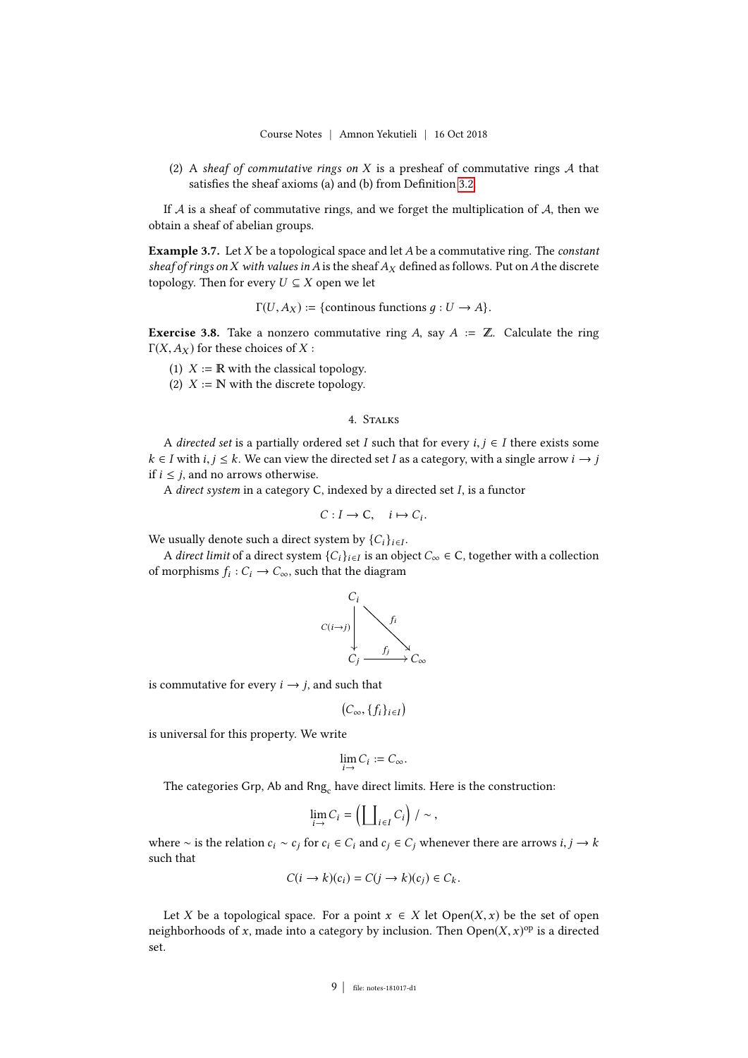(2) A sheaf of commutative rings on X is a presheaf of commutative rings  $A$  that satisfies the sheaf axioms (a) and (b) from Definition [3.2.](#page-6-2)

If  $A$  is a sheaf of commutative rings, and we forget the multiplication of  $A$ , then we obtain a sheaf of abelian groups.

**Example 3.7.** Let  $X$  be a topological space and let  $A$  be a commutative ring. The *constant* sheaf of rings on X with values in A is the sheaf  $A_X$  defined as follows. Put on A the discrete topology. Then for every  $U \subseteq X$  open we let

 $\Gamma(U, A_X) := \{$  continous functions  $q: U \to A\}.$ 

<span id="page-8-1"></span>**Exercise 3.8.** Take a nonzero commutative ring A, say  $A := \mathbb{Z}$ . Calculate the ring  $\Gamma(X, A_X)$  for these choices of X :

- (1)  $X := \mathbb{R}$  with the classical topology.
- (2)  $X := \mathbb{N}$  with the discrete topology.

### 4. Stalks

<span id="page-8-0"></span>A directed set is a partially ordered set I such that for every  $i, j \in I$  there exists some  $k \in I$  with  $i, j \leq k$ . We can view the directed set I as a category, with a single arrow  $i \rightarrow i$ if  $i \leq j$ , and no arrows otherwise.

<sup>A</sup> direct system in a category <sup>C</sup>, indexed by a directed set I, is a functor

$$
C: I \to \mathsf{C}, \quad i \mapsto C_i.
$$

We usually denote such a direct system by  $\{C_i\}_{i \in I}$ .<br>A direct limit of a direct system  $[C]$ , is an obj

A direct limit of a direct system  $\{C_i\}_{i \in I}$  is an object  $C_{\infty} \in C$ , together with a collection morphisms  $f_i : C_i \to C$  such that the diagram of morphisms  $f_i : C_i \to C_\infty$ , such that the diagram



is commutative for every  $i \rightarrow j$ , and such that

 $(C_{\infty}, \{f_i\}_{i\in I})$ 

is universal for this property. We write

$$
\lim_{i \to} C_i := C_{\infty}.
$$

The categories Grp, Ab and  $\mathsf{Rng}_\text{c}$  have direct limits. Here is the construction:

$$
\lim_{i \to} C_i = \left( \coprod_{i \in I} C_i \right) / \sim ,
$$

where ∼ is the relation  $c_i$  ∼  $c_j$  for  $c_i \in C_i$  and  $c_j \in C_j$  whenever there are arrows  $i, j \to k$ such that

$$
C(i \to k)(c_i) = C(j \to k)(c_j) \in C_k.
$$

Let X be a topological space. For a point  $x \in X$  let  $Open(X, x)$  be the set of open neighborhoods of x, made into a category by inclusion. Then  $Open(X, x)^{op}$  is a directed set.

#### 9 | file: notes-181017-d1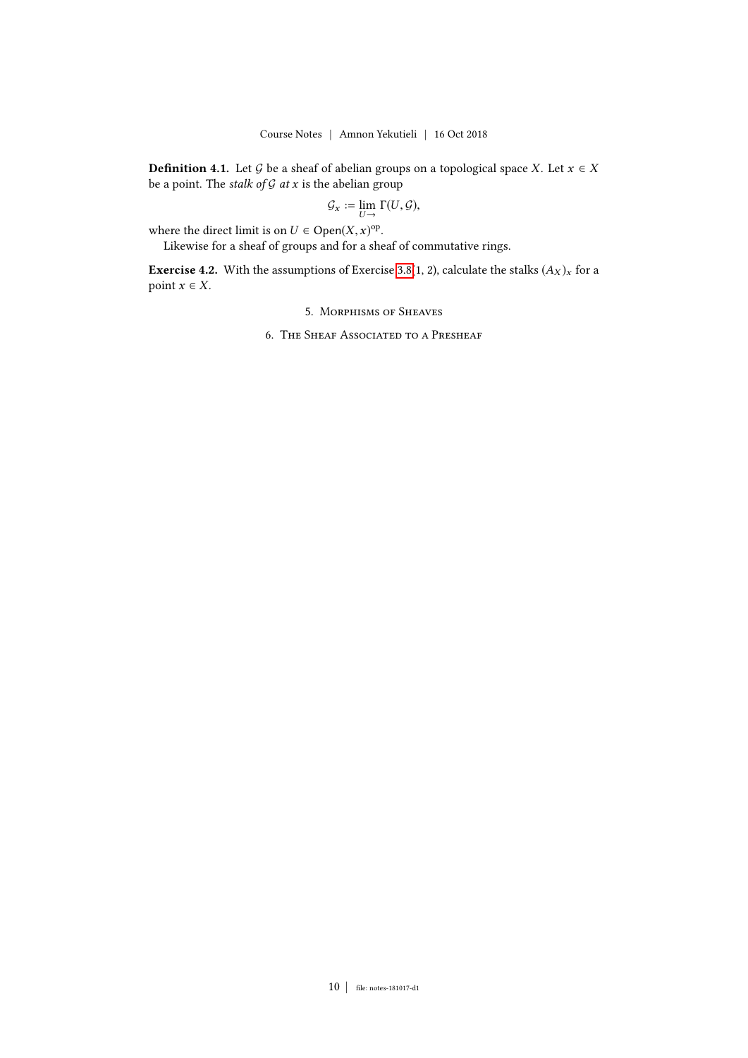**Definition 4.1.** Let G be a sheaf of abelian groups on a topological space X. Let  $x \in X$ be a point. The stalk of  $G$  at  $x$  is the abelian group

$$
\mathcal{G}_x := \lim_{U \to} \Gamma(U, \mathcal{G}),
$$

where the direct limit is on  $U \in \text{Open}(X, x)$ <sup>op</sup>.<br>Likewise for a sheaf of groups and for a sheaf

Likewise for a sheaf of groups and for a sheaf of commutative rings.

<span id="page-9-1"></span><span id="page-9-0"></span>**Exercise 4.2.** With the assumptions of Exercise [3.8\(](#page-8-1)1, 2), calculate the stalks  $(A_X)_x$  for a point  $x \in X$ .

5. Morphisms of Sheaves

6. The Sheaf Associated to a Presheaf